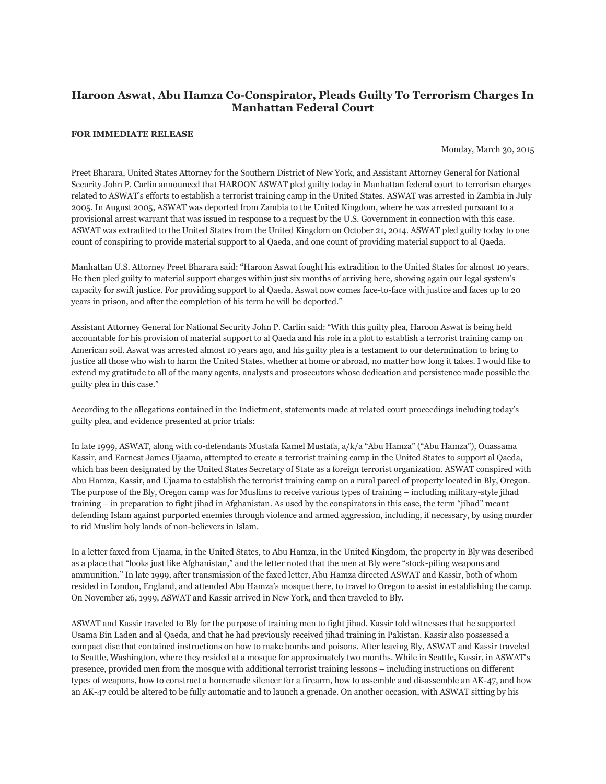## **Haroon Aswat, Abu Hamza Co-Conspirator, Pleads Guilty To Terrorism Charges In Manhattan Federal Court**

## **FOR IMMEDIATE RELEASE**

Monday, March 30, 2015

Preet Bharara, United States Attorney for the Southern District of New York, and Assistant Attorney General for National Security John P. Carlin announced that HAROON ASWAT pled guilty today in Manhattan federal court to terrorism charges related to ASWAT's efforts to establish a terrorist training camp in the United States. ASWAT was arrested in Zambia in July 2005. In August 2005, ASWAT was deported from Zambia to the United Kingdom, where he was arrested pursuant to a provisional arrest warrant that was issued in response to a request by the U.S. Government in connection with this case. ASWAT was extradited to the United States from the United Kingdom on October 21, 2014. ASWAT pled guilty today to one count of conspiring to provide material support to al Qaeda, and one count of providing material support to al Qaeda.

Manhattan U.S. Attorney Preet Bharara said: "Haroon Aswat fought his extradition to the United States for almost 10 years. He then pled guilty to material support charges within just six months of arriving here, showing again our legal system's capacity for swift justice. For providing support to al Qaeda, Aswat now comes face-to-face with justice and faces up to 20 years in prison, and after the completion of his term he will be deported."

Assistant Attorney General for National Security John P. Carlin said: "With this guilty plea, Haroon Aswat is being held accountable for his provision of material support to al Qaeda and his role in a plot to establish a terrorist training camp on American soil. Aswat was arrested almost 10 years ago, and his guilty plea is a testament to our determination to bring to justice all those who wish to harm the United States, whether at home or abroad, no matter how long it takes. I would like to extend my gratitude to all of the many agents, analysts and prosecutors whose dedication and persistence made possible the guilty plea in this case."

According to the allegations contained in the Indictment, statements made at related court proceedings including today's guilty plea, and evidence presented at prior trials:

In late 1999, ASWAT, along with co-defendants Mustafa Kamel Mustafa, a/k/a "Abu Hamza" ("Abu Hamza"), Ouassama Kassir, and Earnest James Ujaama, attempted to create a terrorist training camp in the United States to support al Qaeda, which has been designated by the United States Secretary of State as a foreign terrorist organization. ASWAT conspired with Abu Hamza, Kassir, and Ujaama to establish the terrorist training camp on a rural parcel of property located in Bly, Oregon. The purpose of the Bly, Oregon camp was for Muslims to receive various types of training – including military-style jihad training – in preparation to fight jihad in Afghanistan. As used by the conspirators in this case, the term "jihad" meant defending Islam against purported enemies through violence and armed aggression, including, if necessary, by using murder to rid Muslim holy lands of non-believers in Islam.

In a letter faxed from Ujaama, in the United States, to Abu Hamza, in the United Kingdom, the property in Bly was described as a place that "looks just like Afghanistan," and the letter noted that the men at Bly were "stock-piling weapons and ammunition." In late 1999, after transmission of the faxed letter, Abu Hamza directed ASWAT and Kassir, both of whom resided in London, England, and attended Abu Hamza's mosque there, to travel to Oregon to assist in establishing the camp. On November 26, 1999, ASWAT and Kassir arrived in New York, and then traveled to Bly.

ASWAT and Kassir traveled to Bly for the purpose of training men to fight jihad. Kassir told witnesses that he supported Usama Bin Laden and al Qaeda, and that he had previously received jihad training in Pakistan. Kassir also possessed a compact disc that contained instructions on how to make bombs and poisons. After leaving Bly, ASWAT and Kassir traveled to Seattle, Washington, where they resided at a mosque for approximately two months. While in Seattle, Kassir, in ASWAT's presence, provided men from the mosque with additional terrorist training lessons – including instructions on different types of weapons, how to construct a homemade silencer for a firearm, how to assemble and disassemble an AK-47, and how an AK-47 could be altered to be fully automatic and to launch a grenade. On another occasion, with ASWAT sitting by his